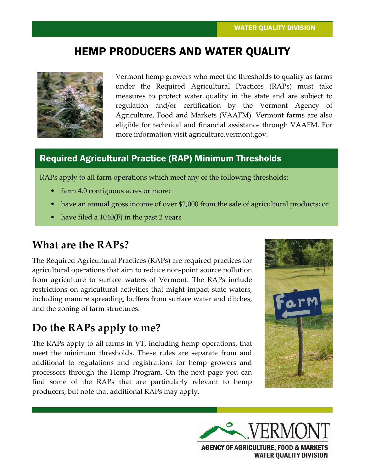# HEMP PRODUCERS AND WATER QUALITY



Vermont hemp growers who meet the thresholds to qualify as farms under the Required Agricultural Practices (RAPs) must take measures to protect water quality in the state and are subject to regulation and/or certification by the Vermont Agency of Agriculture, Food and Markets (VAAFM). Vermont farms are also eligible for technical and financial assistance through VAAFM. For more information visit agriculture.vermont.gov.

#### Required Agricultural Practice (RAP) Minimum Thresholds

RAPs apply to all farm operations which meet any of the following thresholds:

- farm 4.0 contiguous acres or more;
- have an annual gross income of over \$2,000 from the sale of agricultural products; or
- have filed a  $1040(F)$  in the past 2 years

### **What are the RAPs?**

The Required Agricultural Practices (RAPs) are required practices for agricultural operations that aim to reduce non-point source pollution from agriculture to surface waters of Vermont. The RAPs include restrictions on agricultural activities that might impact state waters, including manure spreading, buffers from surface water and ditches, and the zoning of farm structures.

### **Do the RAPs apply to me?**

The RAPs apply to all farms in VT, including hemp operations, that meet the minimum thresholds. These rules are separate from and additional to regulations and registrations for hemp growers and processors through the Hemp Program. On the next page you can find some of the RAPs that are particularly relevant to hemp producers, but note that additional RAPs may apply.





**WATER QUALITY DIVISION**